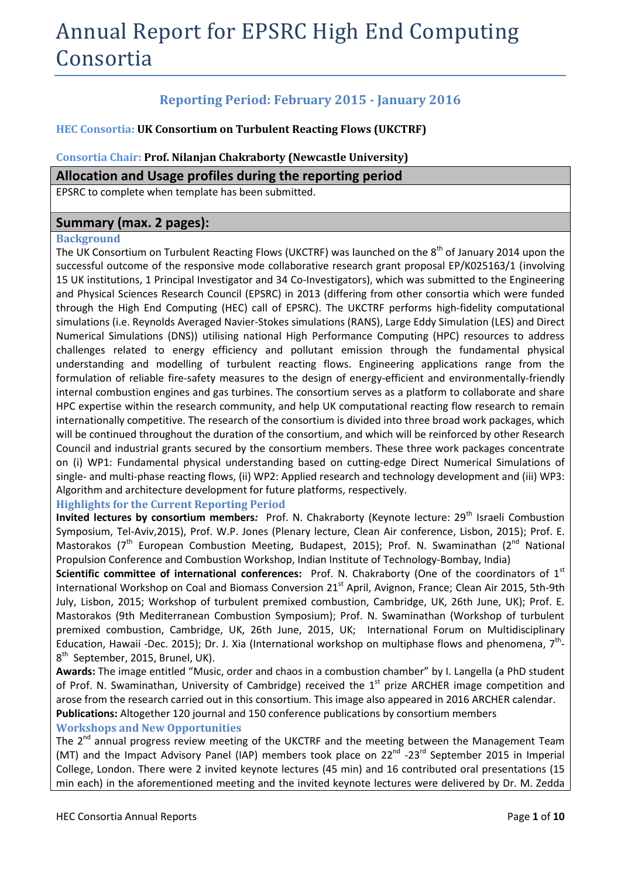# Annual Report for EPSRC High End Computing Consortia

# **Reporting Period: February 2015 - January 2016**

# **HEC Consortia: UK Consortium on Turbulent Reacting Flows (UKCTRF)**

# **Consortia Chair: Prof. Nilanjan Chakraborty (Newcastle University)**

# **Allocation and Usage profiles during the reporting period**

EPSRC to complete when template has been submitted.

# **Summary (max. 2 pages):**

## **Background**

The UK Consortium on Turbulent Reacting Flows (UKCTRF) was launched on the 8<sup>th</sup> of January 2014 upon the successful outcome of the responsive mode collaborative research grant proposal EP/K025163/1 (involving 15 UK institutions, 1 Principal Investigator and 34 Co-Investigators), which was submitted to the Engineering and Physical Sciences Research Council (EPSRC) in 2013 (differing from other consortia which were funded through the High End Computing (HEC) call of EPSRC). The UKCTRF performs high-fidelity computational simulations (i.e. Reynolds Averaged Navier-Stokes simulations (RANS), Large Eddy Simulation (LES) and Direct Numerical Simulations (DNS)) utilising national High Performance Computing (HPC) resources to address challenges related to energy efficiency and pollutant emission through the fundamental physical understanding and modelling of turbulent reacting flows. Engineering applications range from the formulation of reliable fire-safety measures to the design of energy-efficient and environmentally-friendly internal combustion engines and gas turbines. The consortium serves as a platform to collaborate and share HPC expertise within the research community, and help UK computational reacting flow research to remain internationally competitive. The research of the consortium is divided into three broad work packages, which will be continued throughout the duration of the consortium, and which will be reinforced by other Research Council and industrial grants secured by the consortium members. These three work packages concentrate on (i) WP1: Fundamental physical understanding based on cutting-edge Direct Numerical Simulations of single- and multi-phase reacting flows, (ii) WP2: Applied research and technology development and (iii) WP3: Algorithm and architecture development for future platforms, respectively.

# **Highlights for the Current Reporting Period**

**Invited lectures by consortium members:** Prof. N. Chakraborty (Keynote lecture: 29<sup>th</sup> Israeli Combustion Symposium, Tel-Aviv,2015), Prof. W.P. Jones (Plenary lecture, Clean Air conference, Lisbon, 2015); Prof. E. Mastorakos (7<sup>th</sup> European Combustion Meeting, Budapest, 2015); Prof. N. Swaminathan (2<sup>nd</sup> National Propulsion Conference and Combustion Workshop, Indian Institute of Technology-Bombay, India)

Scientific committee of international conferences: Prof. N. Chakraborty (One of the coordinators of 1<sup>st</sup> International Workshop on Coal and Biomass Conversion 21<sup>st</sup> April, Avignon, France; Clean Air 2015, 5th-9th July, Lisbon, 2015; Workshop of turbulent premixed combustion, Cambridge, UK, 26th June, UK); Prof. E. Mastorakos (9th Mediterranean Combustion Symposium); Prof. N. Swaminathan (Workshop of turbulent premixed combustion, Cambridge, UK, 26th June, 2015, UK; International Forum on Multidisciplinary Education, Hawaii -Dec. 2015); Dr. J. Xia (International workshop on multiphase flows and phenomena, 7<sup>th</sup>-8<sup>th</sup> September, 2015, Brunel, UK).

**Awards:** The image entitled "Music, order and chaos in a combustion chamber" by I. Langella (a PhD student of Prof. N. Swaminathan, University of Cambridge) received the  $1<sup>st</sup>$  prize ARCHER image competition and arose from the research carried out in this consortium. This image also appeared in 2016 ARCHER calendar. **Publications:** Altogether 120 journal and 150 conference publications by consortium members

# **Workshops and New Opportunities**

The 2<sup>nd</sup> annual progress review meeting of the UKCTRF and the meeting between the Management Team (MT) and the Impact Advisory Panel (IAP) members took place on  $22^{nd}$  -23<sup>rd</sup> September 2015 in Imperial College, London. There were 2 invited keynote lectures (45 min) and 16 contributed oral presentations (15 min each) in the aforementioned meeting and the invited keynote lectures were delivered by Dr. M. Zedda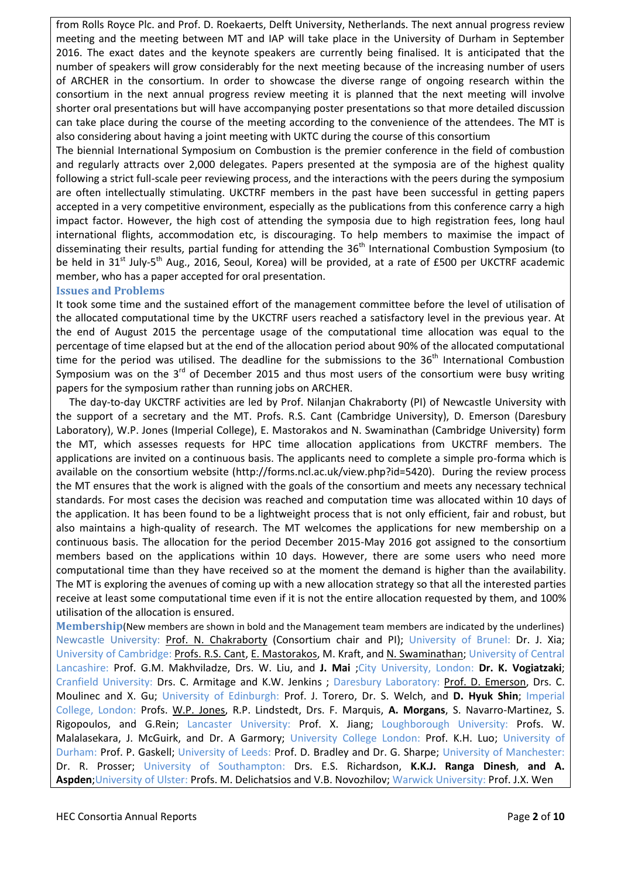from Rolls Royce Plc. and Prof. D. Roekaerts, Delft University, Netherlands. The next annual progress review meeting and the meeting between MT and IAP will take place in the University of Durham in September 2016. The exact dates and the keynote speakers are currently being finalised. It is anticipated that the number of speakers will grow considerably for the next meeting because of the increasing number of users of ARCHER in the consortium. In order to showcase the diverse range of ongoing research within the consortium in the next annual progress review meeting it is planned that the next meeting will involve shorter oral presentations but will have accompanying poster presentations so that more detailed discussion can take place during the course of the meeting according to the convenience of the attendees. The MT is also considering about having a joint meeting with UKTC during the course of this consortium

The biennial International Symposium on Combustion is the premier conference in the field of combustion and regularly attracts over 2,000 delegates. Papers presented at the symposia are of the highest quality following a strict full-scale peer reviewing process, and the interactions with the peers during the symposium are often intellectually stimulating. UKCTRF members in the past have been successful in getting papers accepted in a very competitive environment, especially as the publications from this conference carry a high impact factor. However, the high cost of attending the symposia due to high registration fees, long haul international flights, accommodation etc, is discouraging. To help members to maximise the impact of disseminating their results, partial funding for attending the 36<sup>th</sup> International Combustion Symposium (to be held in 31<sup>st</sup> July-5<sup>th</sup> Aug., 2016, Seoul, Korea) will be provided, at a rate of £500 per UKCTRF academic member, who has a paper accepted for oral presentation.

## **Issues and Problems**

It took some time and the sustained effort of the management committee before the level of utilisation of the allocated computational time by the UKCTRF users reached a satisfactory level in the previous year. At the end of August 2015 the percentage usage of the computational time allocation was equal to the percentage of time elapsed but at the end of the allocation period about 90% of the allocated computational time for the period was utilised. The deadline for the submissions to the  $36<sup>th</sup>$  International Combustion Symposium was on the  $3^{rd}$  of December 2015 and thus most users of the consortium were busy writing papers for the symposium rather than running jobs on ARCHER.

 The day-to-day UKCTRF activities are led by Prof. Nilanjan Chakraborty (PI) of Newcastle University with the support of a secretary and the MT. Profs. R.S. Cant (Cambridge University), D. Emerson (Daresbury Laboratory), W.P. Jones (Imperial College), E. Mastorakos and N. Swaminathan (Cambridge University) form the MT, which assesses requests for HPC time allocation applications from UKCTRF members. The applications are invited on a continuous basis. The applicants need to complete a simple pro-forma which is available on the consortium website [\(http://forms.ncl.ac.uk/view.php?id=5420\)](http://forms.ncl.ac.uk/view.php?id=5420). During the review process the MT ensures that the work is aligned with the goals of the consortium and meets any necessary technical standards. For most cases the decision was reached and computation time was allocated within 10 days of the application. It has been found to be a lightweight process that is not only efficient, fair and robust, but also maintains a high-quality of research. The MT welcomes the applications for new membership on a continuous basis. The allocation for the period December 2015-May 2016 got assigned to the consortium members based on the applications within 10 days. However, there are some users who need more computational time than they have received so at the moment the demand is higher than the availability. The MT is exploring the avenues of coming up with a new allocation strategy so that all the interested parties receive at least some computational time even if it is not the entire allocation requested by them, and 100% utilisation of the allocation is ensured.

**Membership**(New members are shown in bold and the Management team members are indicated by the underlines) Newcastle University: Prof. N. Chakraborty (Consortium chair and PI); University of Brunel: Dr. J. Xia; University of Cambridge: Profs. R.S. Cant, E. Mastorakos, M. Kraft, and N. Swaminathan; University of Central Lancashire: Prof. G.M. Makhviladze, Drs. W. Liu, and **J. Mai** ;City University, London: **Dr. K. Vogiatzaki**; Cranfield University: Drs. C. Armitage and K.W. Jenkins ; Daresbury Laboratory: Prof. D. Emerson, Drs. C. Moulinec and X. Gu; University of Edinburgh: Prof. J. Torero, Dr. S. Welch, and **D. Hyuk Shin**; Imperial College, London: Profs. W.P. Jones, R.P. Lindstedt, Drs. F. Marquis, **A. Morgans**, S. Navarro-Martinez, S. Rigopoulos, and G.Rein; Lancaster University: Prof. X. Jiang; Loughborough University: Profs. W. Malalasekara, J. McGuirk, and Dr. A Garmory; University College London: Prof. K.H. Luo; University of Durham: Prof. P. Gaskell; University of Leeds: Prof. D. Bradley and Dr. G. Sharpe; University of Manchester: Dr. R. Prosser; University of Southampton: Drs. E.S. Richardson, **K.K.J. Ranga Dinesh**, **and A. Aspden**;University of Ulster: Profs. M. Delichatsios and V.B. Novozhilov; Warwick University: Prof. J.X. Wen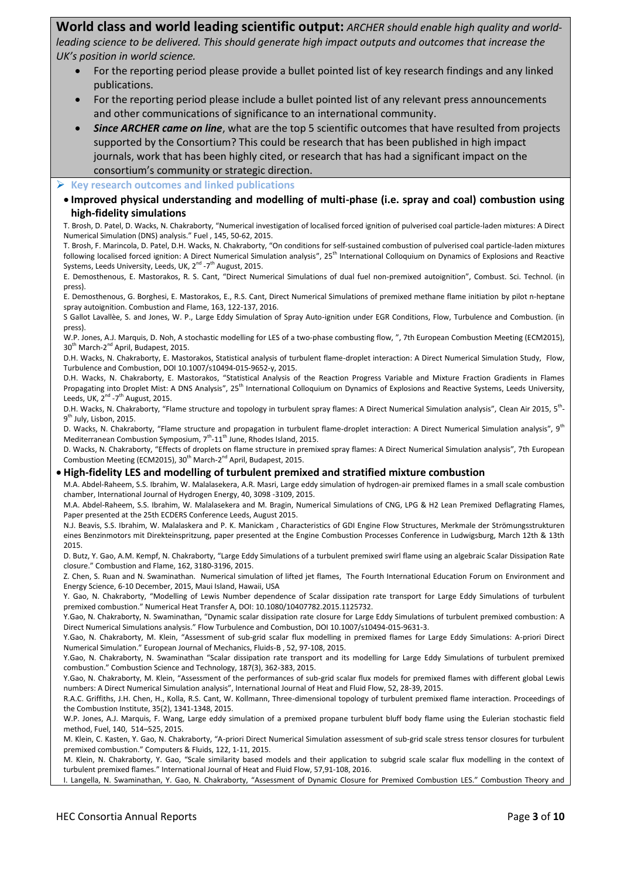**World class and world leading scientific output:** *ARCHER should enable high quality and worldleading science to be delivered. This should generate high impact outputs and outcomes that increase the UK's position in world science.*

- For the reporting period please provide a bullet pointed list of key research findings and any linked publications.
- For the reporting period please include a bullet pointed list of any relevant press announcements and other communications of significance to an international community.
- *Since ARCHER came on line*, what are the top 5 scientific outcomes that have resulted from projects supported by the Consortium? This could be research that has been published in high impact journals, work that has been highly cited, or research that has had a significant impact on the consortium's community or strategic direction.

#### **Key research outcomes and linked publications**

 **Improved physical understanding and modelling of multi-phase (i.e. spray and coal) combustion using high-fidelity simulations**

T. Brosh, D. Patel, D. Wacks, N. Chakraborty, "Numerical investigation of localised forced ignition of pulverised coal particle-laden mixtures: A Direct Numerical Simulation (DNS) analysis." Fuel , 145, 50-62, 2015.

T. Brosh, F. Marincola, D. Patel, D.H. Wacks, N. Chakraborty, "On conditions for self-sustained combustion of pulverised coal particle-laden mixtures following localised forced ignition: A Direct Numerical Simulation analysis", 25<sup>th</sup> International Colloquium on Dynamics of Explosions and Reactive Systems, Leeds University, Leeds, UK, 2<sup>nd</sup> -7<sup>th</sup> August, 2015.

E. Demosthenous, E. Mastorakos, R. S. Cant, "Direct Numerical Simulations of dual fuel non-premixed autoignition", Combust. Sci. Technol. (in press).

E. Demosthenous, G. Borghesi, E. Mastorakos, E., R.S. Cant, Direct Numerical Simulations of premixed methane flame initiation by pilot n-heptane spray autoignition. Combustion and Flame, 163, 122-137, 2016.

S Gallot Lavallèe, S. and Jones, W. P., Large Eddy Simulation of Spray Auto-ignition under EGR Conditions, Flow, Turbulence and Combustion. (in press).

W.P. Jones, A.J. Marquis, D. Noh, A stochastic modelling for LES of a two-phase combusting flow, ", 7th European Combustion Meeting (ECM2015), 30<sup>th</sup> March-2<sup>nd</sup> April, Budapest, 2015.

D.H. Wacks, N. Chakraborty, E. Mastorakos, Statistical analysis of turbulent flame-droplet interaction: A Direct Numerical Simulation Study, Flow, Turbulence and Combustion, DOI 10.1007/s10494-015-9652-y, 2015.

D.H. Wacks, N. Chakraborty, E. Mastorakos, "Statistical Analysis of the Reaction Progress Variable and Mixture Fraction Gradients in Flames Propagating into Droplet Mist: A DNS Analysis", 25<sup>th</sup> International Colloquium on Dynamics of Explosions and Reactive Systems, Leeds University, Leeds, UK,  $2^{nd}$  -7<sup>th</sup> August, 2015.

D.H. Wacks, N. Chakraborty, "Flame structure and topology in turbulent spray flames: A Direct Numerical Simulation analysis", Clean Air 2015, 5<sup>th</sup>-9<sup>th</sup> July, Lisbon, 2015.

D. Wacks, N. Chakraborty, "Flame structure and propagation in turbulent flame-droplet interaction: A Direct Numerical Simulation analysis", 9<sup>th</sup> Mediterranean Combustion Symposium, 7<sup>th</sup>-11<sup>th</sup> June, Rhodes Island, 2015.

D. Wacks, N. Chakraborty, "Effects of droplets on flame structure in premixed spray flames: A Direct Numerical Simulation analysis", 7th European Combustion Meeting (ECM2015), 30<sup>th</sup> March-2<sup>nd</sup> April, Budapest, 2015.

#### **High-fidelity LES and modelling of turbulent premixed and stratified mixture combustion**

M.A. Abdel-Raheem, S.S. Ibrahim, W. Malalasekera, A.R. Masri, Large eddy simulation of hydrogen-air premixed flames in a small scale combustion chamber, International Journal of Hydrogen Energy, 40, 3098 -3109, 2015.

M.A. Abdel-Raheem, S.S. Ibrahim, W. Malalasekera and M. Bragin, Numerical Simulations of CNG, LPG & H2 Lean Premixed Deflagrating Flames, Paper presented at the 25th ECDERS Conference Leeds, August 2015.

N.J. Beavis, S.S. Ibrahim, W. Malalaskera and P. K. Manickam , Characteristics of GDI Engine Flow Structures, Merkmale der Strömungsstrukturen eines Benzinmotors mit Direkteinspritzung, paper presented at the Engine Combustion Processes Conference in Ludwigsburg, March 12th & 13th 2015.

D. Butz, Y. Gao, A.M. Kempf, N. Chakraborty, "Large Eddy Simulations of a turbulent premixed swirl flame using an algebraic Scalar Dissipation Rate closure." Combustion and Flame, 162, 3180-3196, 2015.

Z. Chen, S. Ruan and N. Swaminathan. Numerical simulation of lifted jet flames, The Fourth International Education Forum on Environment and Energy Science, 6-10 December, 2015, Maui Island, Hawaii, USA

Y. Gao, N. Chakraborty, "Modelling of Lewis Number dependence of Scalar dissipation rate transport for Large Eddy Simulations of turbulent premixed combustion." Numerical Heat Transfer A, DOI: 10.1080/10407782.2015.1125732.

Y.Gao, N. Chakraborty, N. Swaminathan, "Dynamic scalar dissipation rate closure for Large Eddy Simulations of turbulent premixed combustion: A Direct Numerical Simulations analysis." Flow Turbulence and Combustion, DOI 10.1007/s10494-015-9631-3.

Y.Gao, N. Chakraborty, M. Klein, "Assessment of sub-grid scalar flux modelling in premixed flames for Large Eddy Simulations: A-priori Direct Numerical Simulation." European Journal of Mechanics, Fluids-B , 52, 97-108, 2015.

Y.Gao, N. Chakraborty, N. Swaminathan "Scalar dissipation rate transport and its modelling for Large Eddy Simulations of turbulent premixed combustion." Combustion Science and Technology, 187(3), 362-383, 2015.

Y.Gao, N. Chakraborty, M. Klein, "Assessment of the performances of sub-grid scalar flux models for premixed flames with different global Lewis numbers: A Direct Numerical Simulation analysis", International Journal of Heat and Fluid Flow, 52, 28-39, 2015.

R.A.C. Griffiths, J.H. Chen, H., Kolla, R.S. Cant, W. Kollmann, Three-dimensional topology of turbulent premixed flame interaction. Proceedings of the Combustion Institute, 35(2), 1341-1348, 2015.

W.P. Jones, A.J. Marquis, F. Wang, Large eddy simulation of a premixed propane turbulent bluff body flame using the Eulerian stochastic field method, Fuel, 140, 514–525, 2015.

M. Klein, C. Kasten, Y. Gao, N. Chakraborty, "A-priori Direct Numerical Simulation assessment of sub-grid scale stress tensor closures for turbulent premixed combustion." Computers & Fluids, 122, 1-11, 2015.

M. Klein, N. Chakraborty, Y. Gao, "Scale similarity based models and their application to subgrid scale scalar flux modelling in the context of turbulent premixed flames." International Journal of Heat and Fluid Flow, 57,91-108, 2016.

I. Langella, N. Swaminathan, Y. Gao, N. Chakraborty, "Assessment of Dynamic Closure for Premixed Combustion LES." Combustion Theory and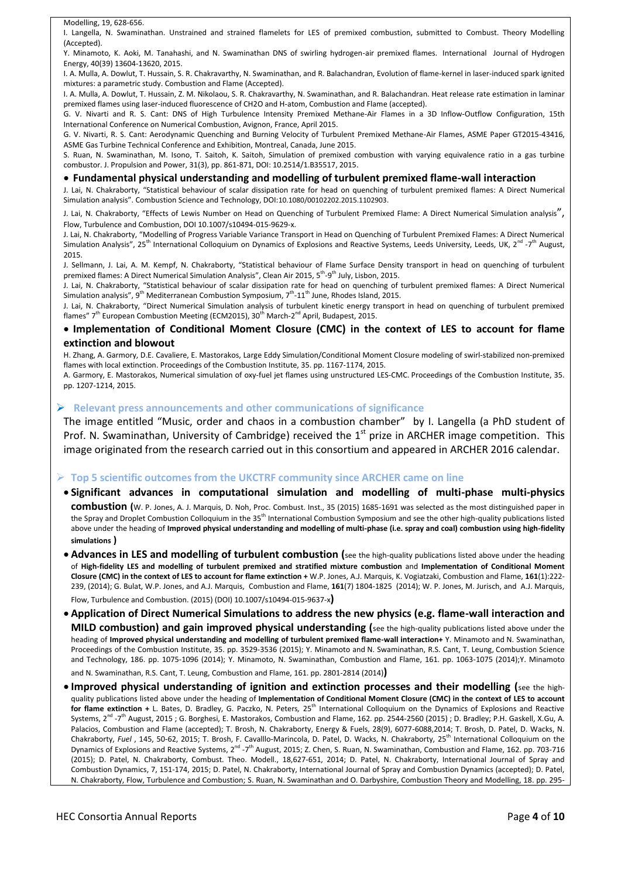Modelling, 19, 628-656.

I. Langella, N. Swaminathan. Unstrained and strained flamelets for LES of premixed combustion, submitted to Combust. Theory Modelling (Accepted).

Y. Minamoto, K. Aoki, M. Tanahashi, and N. Swaminathan DNS of swirling hydrogen-air premixed flames. International Journal of Hydrogen Energy, 40(39) 13604-13620, 2015.

I. A. Mulla, A. Dowlut, T. Hussain, S. R. Chakravarthy, N. Swaminathan, and R. Balachandran, Evolution of flame-kernel in laser-induced spark ignited mixtures: a parametric study. Combustion and Flame (Accepted).

I. A. Mulla, A. Dowlut, T. Hussain, Z. M. Nikolaou, S. R. Chakravarthy, N. Swaminathan, and R. Balachandran. Heat release rate estimation in laminar premixed flames using laser-induced fluorescence of CH2O and H-atom, Combustion and Flame (accepted).

G. V. Nivarti and R. S. Cant: DNS of High Turbulence Intensity Premixed Methane-Air Flames in a 3D Inflow-Outflow Configuration, 15th International Conference on Numerical Combustion, Avignon, France, April 2015.

G. V. Nivarti, R. S. Cant: Aerodynamic Quenching and Burning Velocity of Turbulent Premixed Methane-Air Flames, ASME Paper GT2015-43416, ASME Gas Turbine Technical Conference and Exhibition, Montreal, Canada, June 2015.

S. Ruan, N. Swaminathan, M. Isono, T. Saitoh, K. Saitoh, Simulation of premixed combustion with varying equivalence ratio in a gas turbine combustor. J. Propulsion and Power, 31(3), pp. 861-871, DOI: 10.2514/1.B35517, 2015.

#### **Fundamental physical understanding and modelling of turbulent premixed flame-wall interaction**

J. Lai, N. Chakraborty, "Statistical behaviour of scalar dissipation rate for head on quenching of turbulent premixed flames: A Direct Numerical Simulation analysis". Combustion Science and Technology, DOI:10.1080/00102202.2015.1102903.

J. Lai, N. Chakraborty, "Effects of Lewis Number on Head on Quenching of Turbulent Premixed Flame: A Direct Numerical Simulation analysis", Flow, Turbulence and Combustion, DOI 10.1007/s10494-015-9629-x.

J. Lai, N. Chakraborty, "Modelling of Progress Variable Variance Transport in Head on Quenching of Turbulent Premixed Flames: A Direct Numerical Simulation Analysis", 25<sup>th</sup> International Colloquium on Dynamics of Explosions and Reactive Systems, Leeds University, Leeds, UK, 2<sup>nd</sup> -7<sup>th</sup> August, 2015.

J. Sellmann, J. Lai, A. M. Kempf, N. Chakraborty, "Statistical behaviour of Flame Surface Density transport in head on quenching of turbulent premixed flames: A Direct Numerical Simulation Analysis", Clean Air 2015, 5<sup>th</sup>-9<sup>th</sup> July, Lisbon, 2015.

J. Lai, N. Chakraborty, "Statistical behaviour of scalar dissipation rate for head on quenching of turbulent premixed flames: A Direct Numerical Simulation analysis", 9<sup>th</sup> Mediterranean Combustion Symposium, 7<sup>th</sup>-11<sup>th</sup> June, Rhodes Island, 2015.

J. Lai, N. Chakraborty, "Direct Numerical Simulation analysis of turbulent kinetic energy transport in head on quenching of turbulent premixed flames" 7<sup>th</sup> European Combustion Meeting (ECM2015), 30<sup>th</sup> March-2<sup>nd</sup> April, Budapest, 2015.

#### **Implementation of Conditional Moment Closure (CMC) in the context of LES to account for flame extinction and blowout**

H. Zhang, A. Garmory, D.E. Cavaliere, E. Mastorakos[, Large Eddy Simulation/Conditional Moment Closure modeling of swirl-stabilized non-premixed](http://publications.eng.cam.ac.uk/698186/)  [flames with local extinction.](http://publications.eng.cam.ac.uk/698186/) Proceedings of the Combustion Institute, 35. pp. 1167-1174, 2015.

A. Garmory, E. Mastorakos[, Numerical simulation of oxy-fuel jet flames using unstructured LES-CMC.](http://publications.eng.cam.ac.uk/698185/) Proceedings of the Combustion Institute, 35. pp. 1207-1214, 2015.

#### **Relevant press announcements and other communications of significance**

The image entitled "Music, order and chaos in a combustion chamber" by I. Langella (a PhD student of Prof. N. Swaminathan, University of Cambridge) received the 1<sup>st</sup> prize in ARCHER image competition. This image originated from the research carried out in this consortium and appeared in ARCHER 2016 calendar.

#### **Top 5 scientific outcomes from the UKCTRF community since ARCHER came on line**

- **Significant advances in computational simulation and modelling of multi-phase multi-physics combustion (**W. P. Jones, A. J. Marquis, D. Noh, Proc. Combust. Inst., 35 (2015) 1685-1691 was selected as the most distinguished paper in the Spray and Droplet Combustion Colloquium in the 35<sup>th</sup> International Combustion Symposium and see the other high-quality publications listed above under the heading of **Improved physical understanding and modelling of multi-phase (i.e. spray and coal) combustion using high-fidelity simulations )**
- **Advances in LES and modelling of turbulent combustion (**see the high-quality publications listed above under the heading of **High-fidelity LES and modelling of turbulent premixed and stratified mixture combustion** and **Implementation of Conditional Moment Closure (CMC) in the context of LES to account for flame extinction +** W.P. Jones, A.J. Marquis, K. Vogiatzaki, Combustion and Flame, **161**(1):222- 239, (2014); G. Bulat, W.P. Jones, and A.J. Marquis, Combustion and Flame, **161**(7) 1804-1825 (2014); W. P. Jones, M. Jurisch, and A.J. Marquis, Flow, Turbulence and Combustion. (2015) (DOI) 10.1007/s10494-015-9637-x**)**
- **Application of Direct Numerical Simulations to address the new physics (e.g. flame-wall interaction and MILD combustion) and gain improved physical understanding (**see the high-quality publications listed above under the heading of **Improved physical understanding and modelling of turbulent premixed flame-wall interaction+** Y. Minamoto and N. Swaminathan, Proceedings of the Combustion Institute, 35. pp. 3529-3536 (2015); Y. Minamoto and N. Swaminathan, R.S. Cant, T. Leung, Combustion Science and Technology, 186. pp. 1075-1096 (2014); Y. Minamoto, N. Swaminathan, Combustion and Flame, 161. pp. 1063-1075 (2014);Y. Minamoto and N. Swaminathan, R.S. Cant, T. Leung, Combustion and Flame, 161. pp. 2801-2814 (2014)**)**
- **Improved physical understanding of ignition and extinction processes and their modelling (**see the highquality publications listed above under the heading of **Implementation of Conditional Moment Closure (CMC) in the context of LES to account**  for flame extinction + L. Bates, D. Bradley, G. Paczko, N. Peters, 25<sup>th</sup> International Colloquium on the Dynamics of Explosions and Reactive Systems, 2<sup>nd</sup> -7<sup>th</sup> August, 2015 ; G. Borghesi, E. Mastorakos, Combustion and Flame, 162. pp. 2544-2560 (2015) ; D. Bradley; P.H. Gaskell, X.Gu, A. Palacios, Combustion and Flame (accepted); T. Brosh, N. Chakraborty, Energy & Fuels, 28(9), 6077-6088,2014; T. Brosh, D. Patel, D. Wacks, N. Chakraborty, *Fuel* , 145, 50-62, 2015; T. Brosh, F. Cavalllo-Marincola, D. Patel, D. Wacks, N. Chakraborty, 25th International Colloquium on the Dynamics of Explosions and Reactive Systems, 2<sup>nd</sup> -7<sup>th</sup> August, 2015; Z. Chen, S. Ruan, N. Swaminathan, Combustion and Flame, 162. pp. 703-716 (2015); D. Patel, N. Chakraborty, Combust. Theo. Modell., 18,627-651, 2014; D. Patel, N. Chakraborty, International Journal of Spray and Combustion Dynamics, 7, 151-174, 2015; D. Patel, N. Chakraborty, International Journal of Spray and Combustion Dynamics (accepted); D. Patel, N. Chakraborty, Flow, Turbulence and Combustion; S. Ruan, N. Swaminathan and O. Darbyshire, Combustion Theory and Modelling, 18. pp. 295-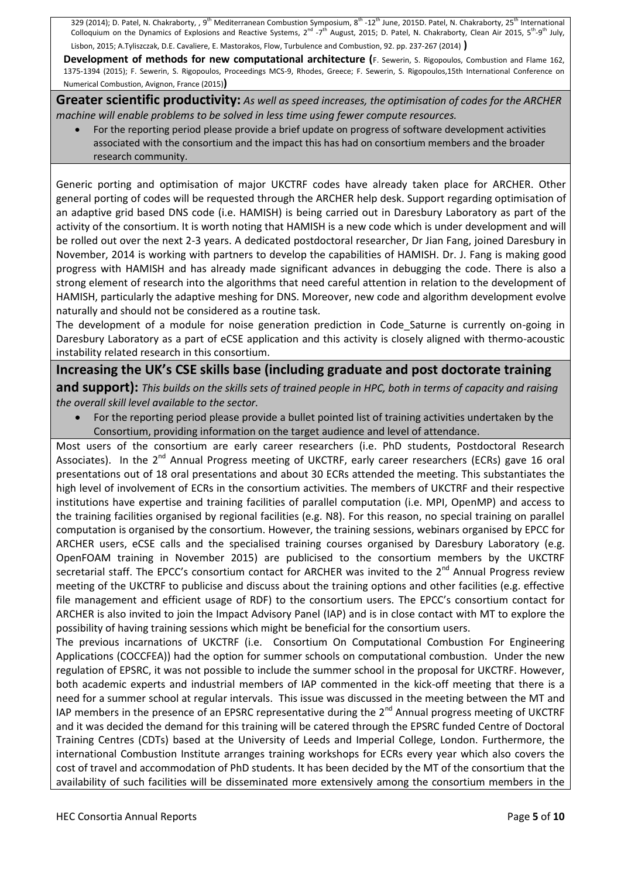329 (2014); D. Patel, N. Chakraborty, , 9<sup>th</sup> Mediterranean Combustion Symposium, 8<sup>th</sup> -12<sup>th</sup> June, 2015D. Patel, N. Chakraborty, 25<sup>th</sup> International Colloquium on the Dynamics of Explosions and Reactive Systems, 2<sup>nd</sup> -7<sup>th</sup> August, 2015; D. Patel, N. Chakraborty, Clean Air 2015, 5<sup>th</sup>-9<sup>th</sup> July, Lisbon, 2015; A.Tyliszczak, D.E. Cavaliere, E. Mastorakos, Flow, Turbulence and Combustion, 92. pp. 237-267 (2014) **)**

**Development of methods for new computational architecture (F. Sewerin, S. Rigopoulos, Combustion and Flame 162,** 1375-1394 (2015); F. Sewerin, S. Rigopoulos, Proceedings MCS-9, Rhodes, Greece; F. Sewerin, S. Rigopoulos,15th International Conference on Numerical Combustion, Avignon, France (2015)**)**

**Greater scientific productivity:** *As well as speed increases, the optimisation of codes for the ARCHER machine will enable problems to be solved in less time using fewer compute resources.*

 For the reporting period please provide a brief update on progress of software development activities associated with the consortium and the impact this has had on consortium members and the broader research community.

Generic porting and optimisation of major UKCTRF codes have already taken place for ARCHER. Other general porting of codes will be requested through the ARCHER help desk. Support regarding optimisation of an adaptive grid based DNS code (i.e. HAMISH) is being carried out in Daresbury Laboratory as part of the activity of the consortium. It is worth noting that HAMISH is a new code which is under development and will be rolled out over the next 2-3 years. A dedicated postdoctoral researcher, Dr Jian Fang, joined Daresbury in November, 2014 is working with partners to develop the capabilities of HAMISH. Dr. J. Fang is making good progress with HAMISH and has already made significant advances in debugging the code. There is also a strong element of research into the algorithms that need careful attention in relation to the development of HAMISH, particularly the adaptive meshing for DNS. Moreover, new code and algorithm development evolve naturally and should not be considered as a routine task.

The development of a module for noise generation prediction in Code Saturne is currently on-going in Daresbury Laboratory as a part of eCSE application and this activity is closely aligned with thermo-acoustic instability related research in this consortium.

# **Increasing the UK's CSE skills base (including graduate and post doctorate training**

**and support):** *This builds on the skills sets of trained people in HPC, both in terms of capacity and raising the overall skill level available to the sector.*

 For the reporting period please provide a bullet pointed list of training activities undertaken by the Consortium, providing information on the target audience and level of attendance.

Most users of the consortium are early career researchers (i.e. PhD students, Postdoctoral Research Associates). In the 2<sup>nd</sup> Annual Progress meeting of UKCTRF, early career researchers (ECRs) gave 16 oral presentations out of 18 oral presentations and about 30 ECRs attended the meeting. This substantiates the high level of involvement of ECRs in the consortium activities. The members of UKCTRF and their respective institutions have expertise and training facilities of parallel computation (i.e. MPI, OpenMP) and access to the training facilities organised by regional facilities (e.g. N8). For this reason, no special training on parallel computation is organised by the consortium. However, the training sessions, webinars organised by EPCC for ARCHER users, eCSE calls and the specialised training courses organised by Daresbury Laboratory (e.g. OpenFOAM training in November 2015) are publicised to the consortium members by the UKCTRF secretarial staff. The EPCC's consortium contact for ARCHER was invited to the 2<sup>nd</sup> Annual Progress review meeting of the UKCTRF to publicise and discuss about the training options and other facilities (e.g. effective file management and efficient usage of RDF) to the consortium users. The EPCC's consortium contact for ARCHER is also invited to join the Impact Advisory Panel (IAP) and is in close contact with MT to explore the possibility of having training sessions which might be beneficial for the consortium users.

The previous incarnations of UKCTRF (i.e. Consortium On Computational Combustion For Engineering Applications (COCCFEA)) had the option for summer schools on computational combustion. Under the new regulation of EPSRC, it was not possible to include the summer school in the proposal for UKCTRF. However, both academic experts and industrial members of IAP commented in the kick-off meeting that there is a need for a summer school at regular intervals. This issue was discussed in the meeting between the MT and IAP members in the presence of an EPSRC representative during the  $2^{nd}$  Annual progress meeting of UKCTRF and it was decided the demand for this training will be catered through the EPSRC funded Centre of Doctoral Training Centres (CDTs) based at the University of Leeds and Imperial College, London. Furthermore, the international Combustion Institute arranges training workshops for ECRs every year which also covers the cost of travel and accommodation of PhD students. It has been decided by the MT of the consortium that the availability of such facilities will be disseminated more extensively among the consortium members in the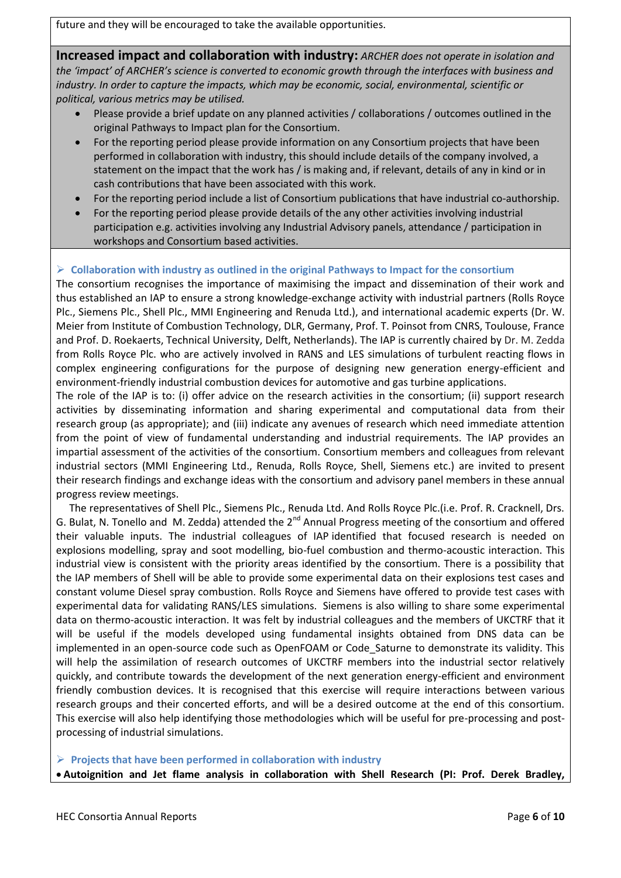future and they will be encouraged to take the available opportunities.

**Increased impact and collaboration with industry:** *ARCHER does not operate in isolation and the 'impact' of ARCHER's science is converted to economic growth through the interfaces with business and industry. In order to capture the impacts, which may be economic, social, environmental, scientific or political, various metrics may be utilised.* 

- Please provide a brief update on any planned activities / collaborations / outcomes outlined in the original Pathways to Impact plan for the Consortium.
- For the reporting period please provide information on any Consortium projects that have been performed in collaboration with industry, this should include details of the company involved, a statement on the impact that the work has / is making and, if relevant, details of any in kind or in cash contributions that have been associated with this work.
- For the reporting period include a list of Consortium publications that have industrial co-authorship.
- For the reporting period please provide details of the any other activities involving industrial participation e.g. activities involving any Industrial Advisory panels, attendance / participation in workshops and Consortium based activities.

# **Collaboration with industry as outlined in the original Pathways to Impact for the consortium**

The consortium recognises the importance of maximising the impact and dissemination of their work and thus established an IAP to ensure a strong knowledge-exchange activity with industrial partners (Rolls Royce Plc., Siemens Plc., Shell Plc., MMI Engineering and Renuda Ltd.), and international academic experts (Dr. W. Meier from Institute of Combustion Technology, DLR, Germany, Prof. T. Poinsot from CNRS, Toulouse, France and Prof. D. Roekaerts, Technical University, Delft, Netherlands). The IAP is currently chaired by Dr. M. Zedda from Rolls Royce Plc. who are actively involved in RANS and LES simulations of turbulent reacting flows in complex engineering configurations for the purpose of designing new generation energy-efficient and environment-friendly industrial combustion devices for automotive and gas turbine applications.

The role of the IAP is to: (i) offer advice on the research activities in the consortium; (ii) support research activities by disseminating information and sharing experimental and computational data from their research group (as appropriate); and (iii) indicate any avenues of research which need immediate attention from the point of view of fundamental understanding and industrial requirements. The IAP provides an impartial assessment of the activities of the consortium. Consortium members and colleagues from relevant industrial sectors (MMI Engineering Ltd., Renuda, Rolls Royce, Shell, Siemens etc.) are invited to present their research findings and exchange ideas with the consortium and advisory panel members in these annual progress review meetings.

 The representatives of Shell Plc., Siemens Plc., Renuda Ltd. And Rolls Royce Plc.(i.e. Prof. R. Cracknell, Drs. G. Bulat, N. Tonello and M. Zedda) attended the  $2^{nd}$  Annual Progress meeting of the consortium and offered their valuable inputs. The industrial colleagues of IAP identified that focused research is needed on explosions modelling, spray and soot modelling, bio-fuel combustion and thermo-acoustic interaction. This industrial view is consistent with the priority areas identified by the consortium. There is a possibility that the IAP members of Shell will be able to provide some experimental data on their explosions test cases and constant volume Diesel spray combustion. Rolls Royce and Siemens have offered to provide test cases with experimental data for validating RANS/LES simulations. Siemens is also willing to share some experimental data on thermo-acoustic interaction. It was felt by industrial colleagues and the members of UKCTRF that it will be useful if the models developed using fundamental insights obtained from DNS data can be implemented in an open-source code such as OpenFOAM or Code\_Saturne to demonstrate its validity. This will help the assimilation of research outcomes of UKCTRF members into the industrial sector relatively quickly, and contribute towards the development of the next generation energy-efficient and environment friendly combustion devices. It is recognised that this exercise will require interactions between various research groups and their concerted efforts, and will be a desired outcome at the end of this consortium. This exercise will also help identifying those methodologies which will be useful for pre-processing and postprocessing of industrial simulations.

**Projects that have been performed in collaboration with industry**

**Autoignition and Jet flame analysis in collaboration with Shell Research (PI: Prof. Derek Bradley,**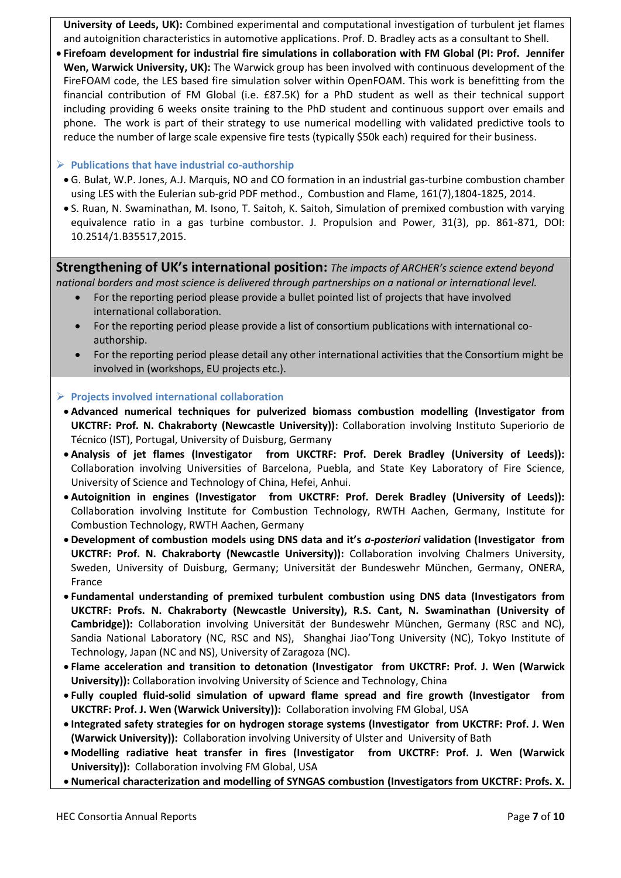**University of Leeds, UK):** Combined experimental and computational investigation of turbulent jet flames and autoignition characteristics in automotive applications. Prof. D. Bradley acts as a consultant to Shell.

 **Firefoam development for industrial fire simulations in collaboration with FM Global (PI: Prof. Jennifer Wen, Warwick University, UK):** The Warwick group has been involved with continuous development of the FireFOAM code, the LES based fire simulation solver within OpenFOAM. This work is benefitting from the financial contribution of FM Global (i.e. £87.5K) for a PhD student as well as their technical support including providing 6 weeks onsite training to the PhD student and continuous support over emails and phone. The work is part of their strategy to use numerical modelling with validated predictive tools to reduce the number of large scale expensive fire tests (typically \$50k each) required for their business.

## **Publications that have industrial co-authorship**

- G. Bulat, W.P. Jones, A.J. Marquis, NO and CO formation in an industrial gas-turbine combustion chamber using LES with the Eulerian sub-grid PDF method., Combustion and Flame, 161(7),1804-1825, 2014.
- S. Ruan, N. Swaminathan, M. Isono, T. Saitoh, K. Saitoh, Simulation of premixed combustion with varying equivalence ratio in a gas turbine combustor. J. Propulsion and Power, 31(3), pp. 861-871, DOI: 10.2514/1.B35517,2015.

**Strengthening of UK's international position:** *The impacts of ARCHER's science extend beyond national borders and most science is delivered through partnerships on a national or international level.*

- For the reporting period please provide a bullet pointed list of projects that have involved international collaboration.
- For the reporting period please provide a list of consortium publications with international coauthorship.
- For the reporting period please detail any other international activities that the Consortium might be involved in (workshops, EU projects etc.).

#### **Projects involved international collaboration**

- **Advanced numerical techniques for pulverized biomass combustion modelling (Investigator from UKCTRF: Prof. N. Chakraborty (Newcastle University)):** Collaboration involving Instituto Superiorio de Técnico (IST), Portugal, University of Duisburg, Germany
- **Analysis of jet flames (Investigator from UKCTRF: Prof. Derek Bradley (University of Leeds)):**  Collaboration involving Universities of Barcelona, Puebla, and State Key Laboratory of Fire Science, University of Science and Technology of China, Hefei, Anhui.
- **Autoignition in engines (Investigator from UKCTRF: Prof. Derek Bradley (University of Leeds)):**  Collaboration involving Institute for Combustion Technology, RWTH Aachen, Germany, Institute for Combustion Technology, RWTH Aachen, Germany
- **Development of combustion models using DNS data and it's** *a-posteriori* **validation (Investigator from UKCTRF: Prof. N. Chakraborty (Newcastle University)):** Collaboration involving Chalmers University, Sweden, University of Duisburg, Germany; Universität der Bundeswehr München, Germany, ONERA, France
- **Fundamental understanding of premixed turbulent combustion using DNS data (Investigators from UKCTRF: Profs. N. Chakraborty (Newcastle University), R.S. Cant, N. Swaminathan (University of Cambridge)):** Collaboration involving Universität der Bundeswehr München, Germany (RSC and NC), Sandia National Laboratory (NC, RSC and NS), Shanghai Jiao'Tong University (NC), Tokyo Institute of Technology, Japan (NC and NS), University of Zaragoza (NC).
- **Flame acceleration and transition to detonation (Investigator from UKCTRF: Prof. J. Wen (Warwick University)):** Collaboration involving University of Science and Technology, China
- **Fully coupled fluid-solid simulation of upward flame spread and fire growth (Investigator from UKCTRF: Prof. J. Wen (Warwick University)):** Collaboration involving FM Global, USA
- **Integrated safety strategies for on hydrogen storage systems (Investigator from UKCTRF: Prof. J. Wen (Warwick University)):** Collaboration involving University of Ulster and University of Bath
- **Modelling radiative heat transfer in fires (Investigator from UKCTRF: Prof. J. Wen (Warwick University)):** Collaboration involving FM Global, USA
- **Numerical characterization and modelling of SYNGAS combustion (Investigators from UKCTRF: Profs. X.**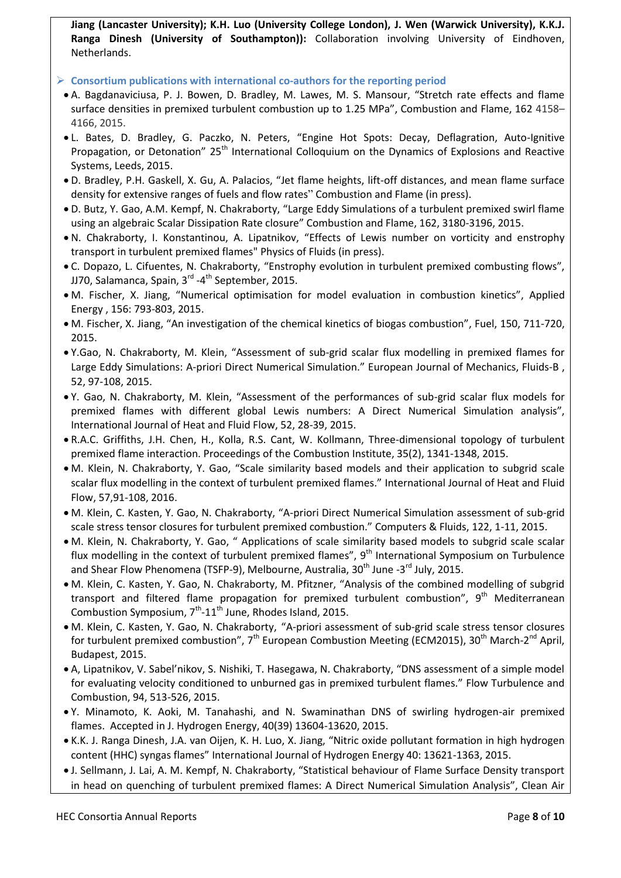**Jiang (Lancaster University); K.H. Luo (University College London), J. Wen (Warwick University), K.K.J. Ranga Dinesh (University of Southampton)):** Collaboration involving University of Eindhoven, Netherlands.

- **Consortium publications with international co-authors for the reporting period**
- A. Bagdanaviciusa, P. J. Bowen, D. Bradley, M. Lawes, M. S. Mansour, "Stretch rate effects and flame surface densities in premixed turbulent combustion up to 1.25 MPa", Combustion and Flame, 162 4158– 4166, 2015.
- L. Bates, D. Bradley, G. Paczko, N. Peters, "Engine Hot Spots: Decay, Deflagration, Auto-Ignitive Propagation, or Detonation" 25<sup>th</sup> International Colloquium on the Dynamics of Explosions and Reactive Systems, Leeds, 2015.
- D. Bradley, P.H. Gaskell, X. Gu, A. Palacios, "Jet flame heights, lift-off distances, and mean flame surface density for extensive ranges of fuels and flow rates" Combustion and Flame (in press).
- D. Butz, Y. Gao, A.M. Kempf, N. Chakraborty, "Large Eddy Simulations of a turbulent premixed swirl flame using an algebraic Scalar Dissipation Rate closure" Combustion and Flame, 162, 3180-3196, 2015.
- N. Chakraborty, I. Konstantinou, A. Lipatnikov, "Effects of Lewis number on vorticity and enstrophy transport in turbulent premixed flames" Physics of Fluids (in press).
- C. Dopazo, L. Cifuentes, N. Chakraborty, "Enstrophy evolution in turbulent premixed combusting flows", JJ70, Salamanca, Spain, 3<sup>rd</sup> -4<sup>th</sup> September, 2015.
- M. Fischer, X. Jiang, "Numerical optimisation for model evaluation in combustion kinetics", Applied Energy , 156: 793-803, 2015.
- M. Fischer, X. Jiang, "An investigation of the chemical kinetics of biogas combustion", Fuel, 150, 711-720, 2015.
- Y.Gao, N. Chakraborty, M. Klein, "Assessment of sub-grid scalar flux modelling in premixed flames for Large Eddy Simulations: A-priori Direct Numerical Simulation." European Journal of Mechanics, Fluids-B , 52, 97-108, 2015.
- Y. Gao, N. Chakraborty, M. Klein, "Assessment of the performances of sub-grid scalar flux models for premixed flames with different global Lewis numbers: A Direct Numerical Simulation analysis", International Journal of Heat and Fluid Flow, 52, 28-39, 2015.
- R.A.C. Griffiths, J.H. Chen, H., Kolla, R.S. Cant, W. Kollmann, Three-dimensional topology of turbulent premixed flame interaction. Proceedings of the Combustion Institute, 35(2), 1341-1348, 2015.
- M. Klein, N. Chakraborty, Y. Gao, "Scale similarity based models and their application to subgrid scale scalar flux modelling in the context of turbulent premixed flames." International Journal of Heat and Fluid Flow, 57,91-108, 2016.
- M. Klein, C. Kasten, Y. Gao, N. Chakraborty, "A-priori Direct Numerical Simulation assessment of sub-grid scale stress tensor closures for turbulent premixed combustion." Computers & Fluids, 122, 1-11, 2015.
- M. Klein, N. Chakraborty, Y. Gao, " Applications of scale similarity based models to subgrid scale scalar flux modelling in the context of turbulent premixed flames", 9<sup>th</sup> International Symposium on Turbulence and Shear Flow Phenomena (TSFP-9), Melbourne, Australia, 30<sup>th</sup> June -3<sup>rd</sup> July, 2015.
- M. Klein, C. Kasten, Y. Gao, N. Chakraborty, M. Pfitzner, "Analysis of the combined modelling of subgrid transport and filtered flame propagation for premixed turbulent combustion", 9<sup>th</sup> Mediterranean Combustion Symposium,  $7<sup>th</sup>$ -11<sup>th</sup> June, Rhodes Island, 2015.
- M. Klein, C. Kasten, Y. Gao, N. Chakraborty, "A-priori assessment of sub-grid scale stress tensor closures for turbulent premixed combustion", 7<sup>th</sup> European Combustion Meeting (ECM2015), 30<sup>th</sup> March-2<sup>nd</sup> April, Budapest, 2015.
- A, Lipatnikov, V. Sabel'nikov, S. Nishiki, T. Hasegawa, N. Chakraborty, "DNS assessment of a simple model for evaluating velocity conditioned to unburned gas in premixed turbulent flames." Flow Turbulence and Combustion, 94, 513-526, 2015.
- Y. Minamoto, K. Aoki, M. Tanahashi, and N. Swaminathan DNS of swirling hydrogen-air premixed flames. Accepted in J. Hydrogen Energy, 40(39) 13604-13620, 2015.
- K.K. J. Ranga Dinesh, J.A. van Oijen, K. H. Luo, X. Jiang, "Nitric oxide pollutant formation in high hydrogen content (HHC) syngas flames" International Journal of Hydrogen Energy 40: 13621-1363, 2015.
- J. Sellmann, J. Lai, A. M. Kempf, N. Chakraborty, "Statistical behaviour of Flame Surface Density transport in head on quenching of turbulent premixed flames: A Direct Numerical Simulation Analysis", Clean Air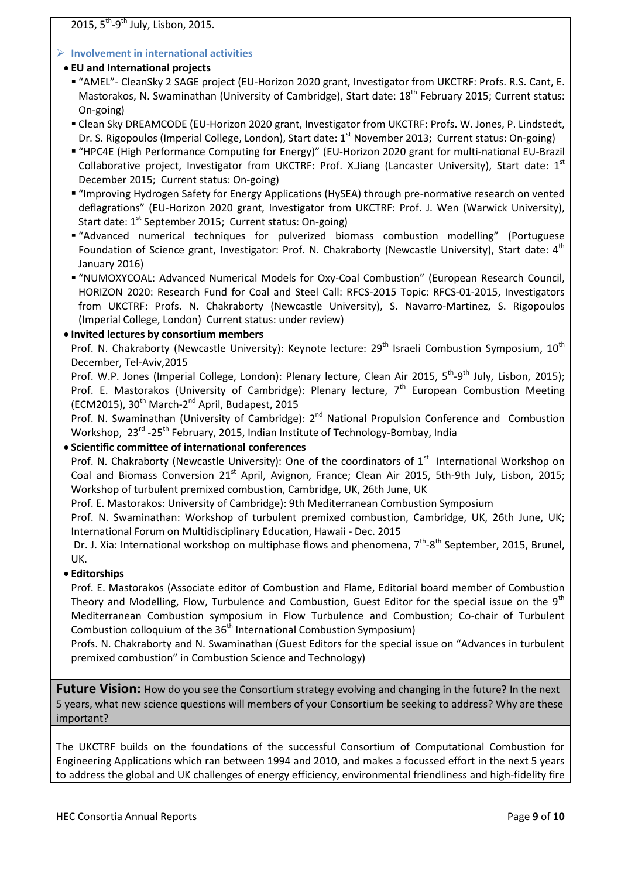2015, 5<sup>th</sup>-9<sup>th</sup> July, Lisbon, 2015.

# **Involvement in international activities**

# **EU and International projects**

- "AMEL"- CleanSky 2 SAGE project (EU-Horizon 2020 grant, Investigator from UKCTRF: Profs. R.S. Cant, E. Mastorakos, N. Swaminathan (University of Cambridge), Start date: 18<sup>th</sup> February 2015; Current status: On-going)
- Clean Sky DREAMCODE (EU-Horizon 2020 grant, Investigator from UKCTRF: Profs. W. Jones, P. Lindstedt, Dr. S. Rigopoulos (Imperial College, London), Start date: 1<sup>st</sup> November 2013; Current status: On-going)
- "HPC4E (High Performance Computing for Energy)" (EU-Horizon 2020 grant for multi-national EU-Brazil Collaborative project, Investigator from UKCTRF: Prof. X.Jiang (Lancaster University), Start date:  $1<sup>st</sup>$ December 2015; Current status: On-going)
- "Improving Hydrogen Safety for Energy Applications (HySEA) through pre-normative research on vented deflagrations" (EU-Horizon 2020 grant, Investigator from UKCTRF: Prof. J. Wen (Warwick University), Start date: 1<sup>st</sup> September 2015; Current status: On-going)
- "Advanced numerical techniques for pulverized biomass combustion modelling" (Portuguese Foundation of Science grant, Investigator: Prof. N. Chakraborty (Newcastle University), Start date: 4<sup>th</sup> January 2016)
- "NUMOXYCOAL: Advanced Numerical Models for Oxy-Coal Combustion" (European Research Council, HORIZON 2020: Research Fund for Coal and Steel Call: RFCS-2015 Topic: RFCS-01-2015, Investigators from UKCTRF: Profs. N. Chakraborty (Newcastle University), S. Navarro-Martinez, S. Rigopoulos (Imperial College, London) Current status: under review)

# **Invited lectures by consortium members**

Prof. N. Chakraborty (Newcastle University): Keynote lecture: 29<sup>th</sup> Israeli Combustion Symposium, 10<sup>th</sup> December, Tel-Aviv,2015

Prof. W.P. Jones (Imperial College, London): Plenary lecture, Clean Air 2015, 5<sup>th</sup>-9<sup>th</sup> July, Lisbon, 2015); Prof. E. Mastorakos (University of Cambridge): Plenary lecture, 7<sup>th</sup> European Combustion Meeting (ECM2015), 30<sup>th</sup> March-2<sup>nd</sup> April, Budapest, 2015

Prof. N. Swaminathan (University of Cambridge): 2<sup>nd</sup> National Propulsion Conference and Combustion Workshop, 23<sup>rd</sup> -25<sup>th</sup> February, 2015, Indian Institute of Technology-Bombay, India

# **Scientific committee of international conferences**

Prof. N. Chakraborty (Newcastle University): One of the coordinators of 1<sup>st</sup> International Workshop on Coal and Biomass Conversion 21<sup>st</sup> April, Avignon, France; Clean Air 2015, 5th-9th July, Lisbon, 2015; Workshop of turbulent premixed combustion, Cambridge, UK, 26th June, UK

Prof. E. Mastorakos: University of Cambridge): 9th Mediterranean Combustion Symposium

Prof. N. Swaminathan: Workshop of turbulent premixed combustion, Cambridge, UK, 26th June, UK; International Forum on Multidisciplinary Education, Hawaii - Dec. 2015

Dr. J. Xia: International workshop on multiphase flows and phenomena, 7<sup>th</sup>-8<sup>th</sup> September, 2015, Brunel, UK.

# **Editorships**

Prof. E. Mastorakos (Associate editor of Combustion and Flame, Editorial board member of Combustion Theory and Modelling, Flow, Turbulence and Combustion, Guest Editor for the special issue on the  $9<sup>th</sup>$ Mediterranean Combustion symposium in Flow Turbulence and Combustion; Co-chair of Turbulent Combustion colloquium of the 36<sup>th</sup> International Combustion Symposium)

Profs. N. Chakraborty and N. Swaminathan (Guest Editors for the special issue on "Advances in turbulent premixed combustion" in Combustion Science and Technology)

**Future Vision:** How do you see the Consortium strategy evolving and changing in the future? In the next 5 years, what new science questions will members of your Consortium be seeking to address? Why are these important?

The UKCTRF builds on the foundations of the successful Consortium of Computational Combustion for Engineering Applications which ran between 1994 and 2010, and makes a focussed effort in the next 5 years to address the global and UK challenges of energy efficiency, environmental friendliness and high-fidelity fire